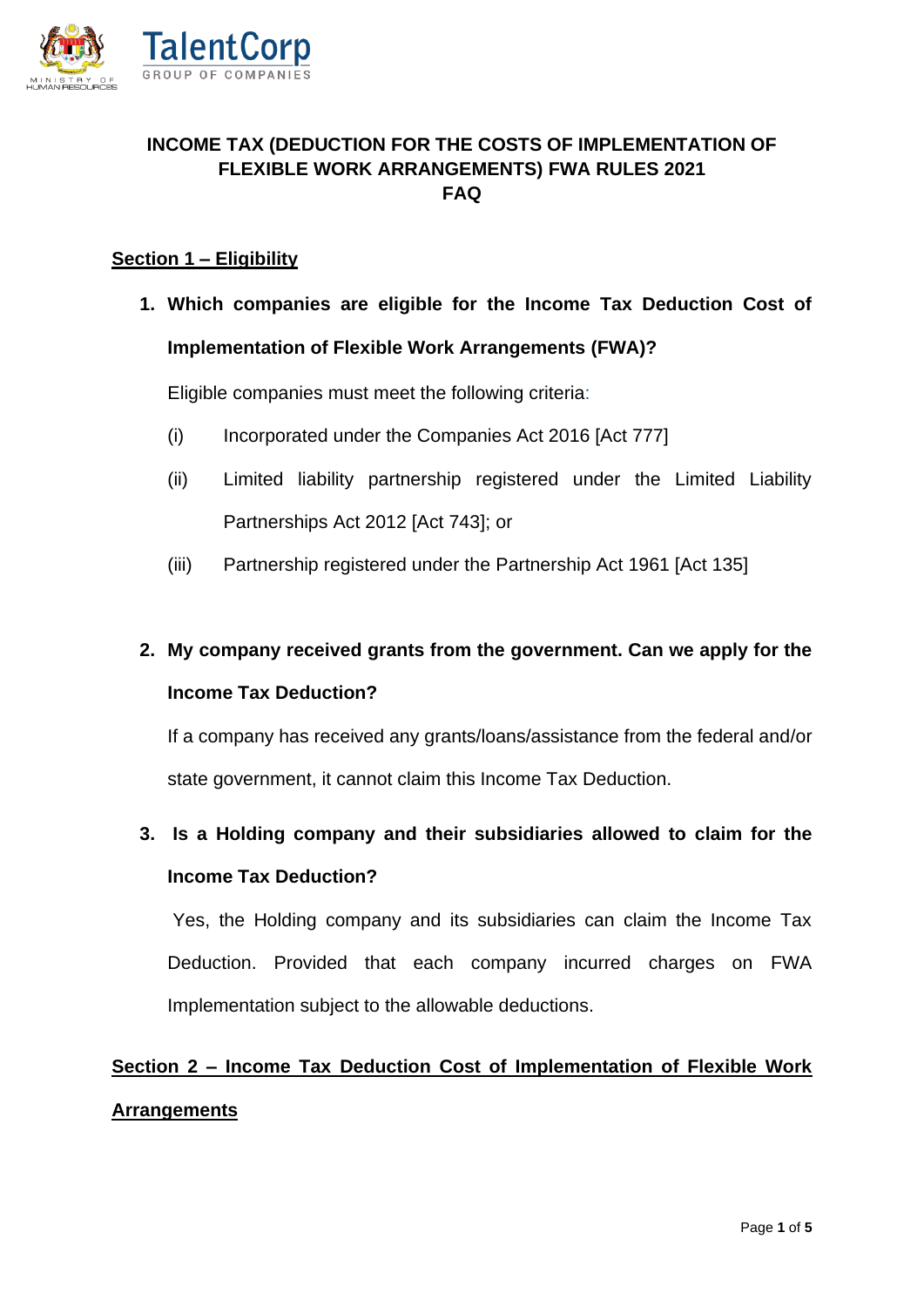

#### **INCOME TAX (DEDUCTION FOR THE COSTS OF IMPLEMENTATION OF FLEXIBLE WORK ARRANGEMENTS) FWA RULES 2021 FAQ**

#### **Section 1 – Eligibility**

**1. Which companies are eligible for the Income Tax Deduction Cost of Implementation of Flexible Work Arrangements (FWA)?** 

Eligible companies must meet the following criteria:

- (i) Incorporated under the Companies Act 2016 [Act 777]
- (ii) Limited liability partnership registered under the Limited Liability Partnerships Act 2012 [Act 743]; or
- (iii) Partnership registered under the Partnership Act 1961 [Act 135]

### **2. My company received grants from the government. Can we apply for the Income Tax Deduction?**

If a company has received any grants/loans/assistance from the federal and/or state government, it cannot claim this Income Tax Deduction.

### **3. Is a Holding company and their subsidiaries allowed to claim for the Income Tax Deduction?**

Yes, the Holding company and its subsidiaries can claim the Income Tax Deduction. Provided that each company incurred charges on FWA Implementation subject to the allowable deductions.

## **Section 2 – Income Tax Deduction Cost of Implementation of Flexible Work Arrangements**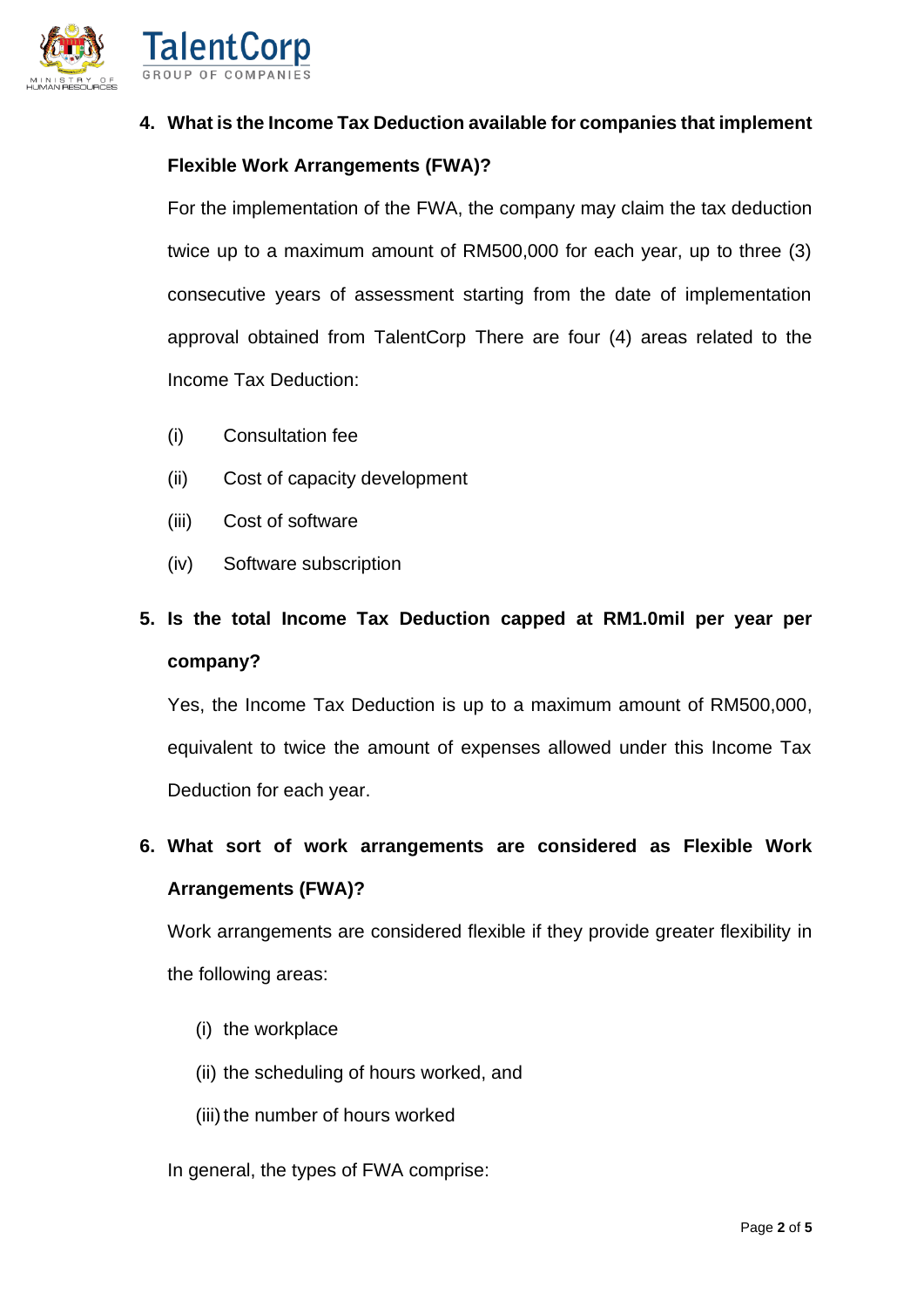

## **4. What is the Income Tax Deduction available for companies that implement Flexible Work Arrangements (FWA)?**

For the implementation of the FWA, the company may claim the tax deduction twice up to a maximum amount of RM500,000 for each year, up to three (3) consecutive years of assessment starting from the date of implementation approval obtained from TalentCorp There are four (4) areas related to the Income Tax Deduction:

- (i) Consultation fee
- (ii) Cost of capacity development
- (iii) Cost of software
- (iv) Software subscription

### **5. Is the total Income Tax Deduction capped at RM1.0mil per year per company?**

Yes, the Income Tax Deduction is up to a maximum amount of RM500,000, equivalent to twice the amount of expenses allowed under this Income Tax Deduction for each year.

### **6. What sort of work arrangements are considered as Flexible Work Arrangements (FWA)?**

Work arrangements are considered flexible if they provide greater flexibility in the following areas:

- (i) the workplace
- (ii) the scheduling of hours worked, and
- (iii) the number of hours worked
- In general, the types of FWA comprise: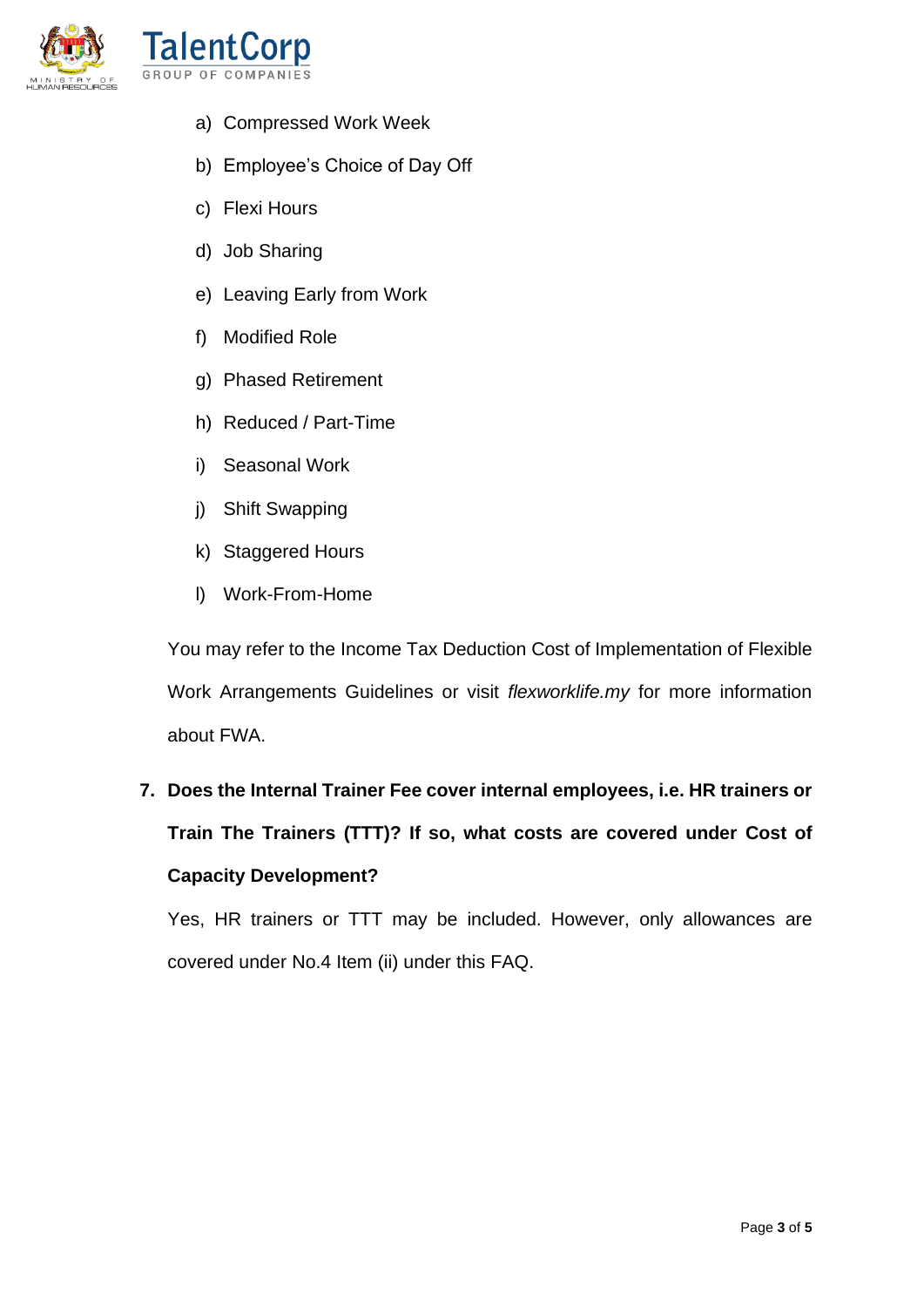

- a) Compressed Work Week
- b) Employee's Choice of Day Off
- c) Flexi Hours
- d) Job Sharing
- e) Leaving Early from Work
- f) Modified Role
- g) Phased Retirement
- h) Reduced / Part-Time
- i) Seasonal Work
- j) Shift Swapping
- k) Staggered Hours
- l) Work-From-Home

You may refer to the Income Tax Deduction Cost of Implementation of Flexible Work Arrangements Guidelines or visit *flexworklife.my* for more information about FWA.

# **7. Does the Internal Trainer Fee cover internal employees, i.e. HR trainers or Train The Trainers (TTT)? If so, what costs are covered under Cost of Capacity Development?**

Yes, HR trainers or TTT may be included. However, only allowances are covered under No.4 Item (ii) under this FAQ.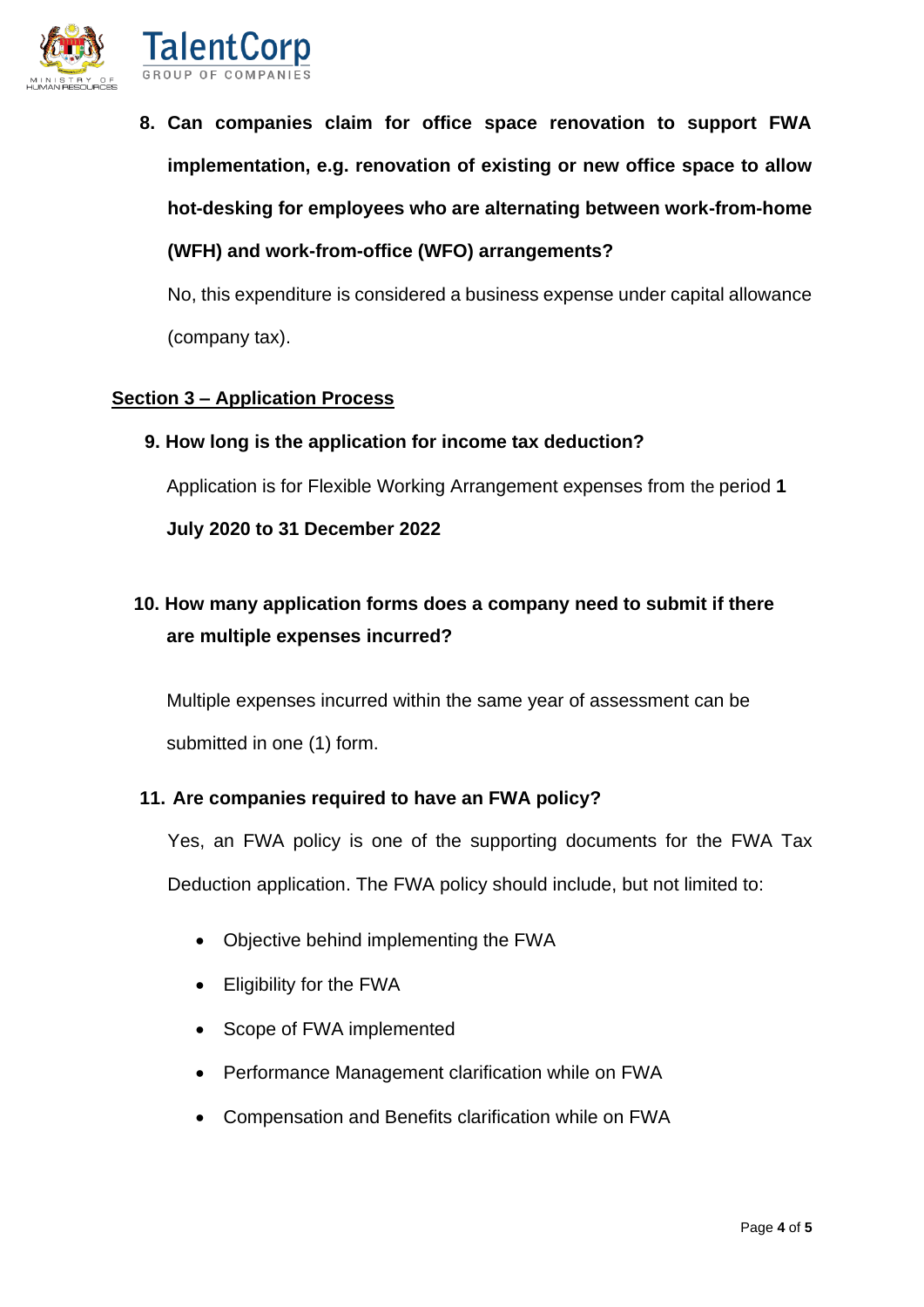

**8. Can companies claim for office space renovation to support FWA implementation, e.g. renovation of existing or new office space to allow hot-desking for employees who are alternating between work-from-home (WFH) and work-from-office (WFO) arrangements?**

No, this expenditure is considered a business expense under capital allowance (company tax).

#### **Section 3 – Application Process**

**9. How long is the application for income tax deduction?**

Application is for Flexible Working Arrangement expenses from the period **1** 

**July 2020 to 31 December 2022**

### **10. How many application forms does a company need to submit if there are multiple expenses incurred?**

Multiple expenses incurred within the same year of assessment can be submitted in one (1) form.

#### **11. Are companies required to have an FWA policy?**

Yes, an FWA policy is one of the supporting documents for the FWA Tax Deduction application. The FWA policy should include, but not limited to:

- Objective behind implementing the FWA
- Eligibility for the FWA
- Scope of FWA implemented
- Performance Management clarification while on FWA
- Compensation and Benefits clarification while on FWA